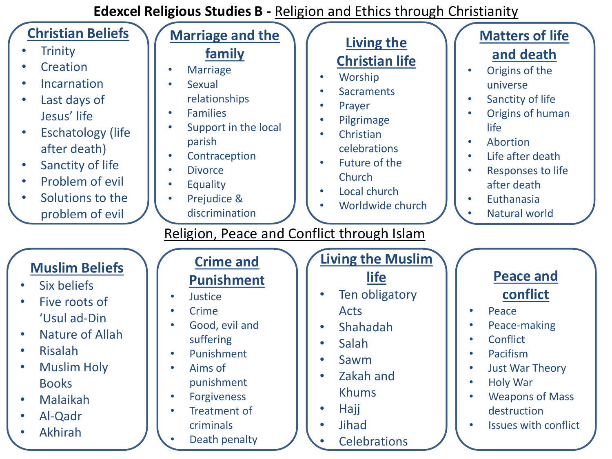### **Edexcel Religious Studies B -** Religion and Ethics through Christianity

| <b>Christian Beliefs</b><br><b>Trinity</b><br>$\bullet$<br>Creation<br>Incarnation<br>Last days of<br>Jesus' life<br><b>Eschatology (life</b><br>$\bullet$<br>after death)<br>Sanctity of life<br>$\bullet$<br>Problem of evil<br>Solutions to the<br>problem of evil | <b>Marriage and the</b><br>family<br><b>Marriage</b><br><b>Sexual</b><br>relationships<br><b>Families</b><br>$\bullet$<br>Support in the local<br>parish<br>Contraception<br><b>Divorce</b><br>Equality<br>Prejudice &<br>discrimination<br>Religion, Peace and Conflict through Islam | <b>Living the</b><br><b>Christian life</b><br>Worship<br>$\bullet$<br><b>Sacraments</b><br>$\bullet$<br>Prayer<br>Pilgrimage<br>Christian<br>celebrations<br>Future of the<br>Church<br>Local church<br>Worldwide church       | <b>Matters of life</b><br>and death<br>Origins of the<br>universe<br>Sanctity of life<br>Origins of human<br>life<br>Abortion<br>$\bullet$<br>Life after death<br>$\bullet$<br><b>Responses to life</b><br>after death<br>Euthanasia<br>$\bullet$<br><b>Natural world</b>        |
|-----------------------------------------------------------------------------------------------------------------------------------------------------------------------------------------------------------------------------------------------------------------------|----------------------------------------------------------------------------------------------------------------------------------------------------------------------------------------------------------------------------------------------------------------------------------------|--------------------------------------------------------------------------------------------------------------------------------------------------------------------------------------------------------------------------------|----------------------------------------------------------------------------------------------------------------------------------------------------------------------------------------------------------------------------------------------------------------------------------|
| <b>Muslim Beliefs</b><br>Six beliefs<br>Five roots of<br>'Usul ad-Din<br><b>Nature of Allah</b><br><b>Risalah</b><br>$\bullet$<br><b>Muslim Holy</b><br>$\bullet$<br><b>Books</b><br>Malaikah<br>Al-Qadr<br><b>Akhirah</b>                                            | <b>Crime and</b><br><b>Punishment</b><br>Justice<br>$\bullet$<br>Crime<br>$\bullet$<br>Good, evil and<br>suffering<br>Punishment<br>$\bullet$<br>Aims of<br>$\bullet$<br>punishment<br><b>Forgiveness</b><br><b>Treatment of</b><br>criminals<br>Death penalty                         | <b>Living the Muslim</b><br>life<br>Ten obligatory<br><b>Acts</b><br>Shahadah<br>$\bullet$<br>Salah<br>$\bullet$<br>Sawm<br>Zakah and<br><b>Khums</b><br>Hajj<br>$\bullet$<br><b>Jihad</b><br>$\bullet$<br><b>Celebrations</b> | <b>Peace and</b><br>conflict<br>Peace<br>$\bullet$<br>Peace-making<br>Conflict<br>$\bullet$<br>Pacifism<br>$\bullet$<br><b>Just War Theory</b><br>$\bullet$<br><b>Holy War</b><br>$\bullet$<br><b>Weapons of Mass</b><br>destruction<br><b>Issues with conflict</b><br>$\bullet$ |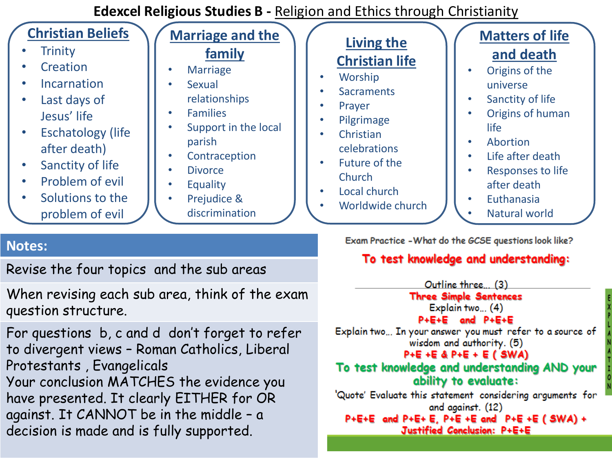### **Edexcel Religious Studies B -** Religion and Ethics through Christianity

| Lachech Rengious Staures De Rengion and Luncs through Christianity                                                                                                                                                                                                                                                               |                                                                                                                                                                                                                                                                                      |                                                                                                                                                                                                      |                                                                                                                                                                                                                                                                                              |  |  |
|----------------------------------------------------------------------------------------------------------------------------------------------------------------------------------------------------------------------------------------------------------------------------------------------------------------------------------|--------------------------------------------------------------------------------------------------------------------------------------------------------------------------------------------------------------------------------------------------------------------------------------|------------------------------------------------------------------------------------------------------------------------------------------------------------------------------------------------------|----------------------------------------------------------------------------------------------------------------------------------------------------------------------------------------------------------------------------------------------------------------------------------------------|--|--|
| <b>Christian Beliefs</b><br><b>Trinity</b><br>Creation<br>$\bullet$<br><b>Incarnation</b><br>$\bullet$<br>Last days of<br>$\bullet$<br>Jesus' life<br><b>Eschatology (life</b><br>$\bullet$<br>after death)<br>Sanctity of life<br>$\bullet$<br>Problem of evil<br>$\bullet$<br>Solutions to the<br>$\bullet$<br>problem of evil | <b>Marriage and the</b><br>family<br><b>Marriage</b><br><b>Sexual</b><br>$\bullet$<br>relationships<br><b>Families</b><br>$\bullet$<br>Support in the local<br>$\bullet$<br>parish<br>Contraception<br>٠<br><b>Divorce</b><br>$\bullet$<br>Equality<br>Prejudice &<br>discrimination | Living the<br><b>Christian life</b><br>Worship<br><b>Sacraments</b><br>Prayer<br>Pilgrimage<br>Christian<br>$\bullet$<br>celebrations<br>Future of the<br>Church<br>Local church<br>Worldwide church | <b>Matters of life</b><br>and death<br>Origins of the<br>universe<br>Sanctity of life<br>$\bullet$<br>Origins of human<br>$\bullet$<br>life<br>Abortion<br>$\bullet$<br>Life after death<br>$\bullet$<br><b>Responses to life</b><br>after death<br>Euthanasia<br>$\bullet$<br>Natural world |  |  |
| tes:                                                                                                                                                                                                                                                                                                                             |                                                                                                                                                                                                                                                                                      |                                                                                                                                                                                                      | Exam Practice - What do the GCSE questions look like?                                                                                                                                                                                                                                        |  |  |
| vise the four topics and the sub areas                                                                                                                                                                                                                                                                                           |                                                                                                                                                                                                                                                                                      |                                                                                                                                                                                                      | To test knowledge and understanding:<br>Outline three (3)                                                                                                                                                                                                                                    |  |  |
| san wasing analyzed and analyzed and the asset                                                                                                                                                                                                                                                                                   |                                                                                                                                                                                                                                                                                      |                                                                                                                                                                                                      |                                                                                                                                                                                                                                                                                              |  |  |

**Note** 

Revise the four topics and the sub areas

When revising each sub area, think of the exam question structure.

For questions b, c and d don't forget to refer to divergent views – Roman Catholics, Liberal Protestants , Evangelicals Your conclusion MATCHES the evidence you have presented. It clearly EITHER for OR against. It CANNOT be in the middle – a decision is made and is fully supported.

**Three Simple Sentences** Explain two...  $(4)$ P+E+E and P+E+E Explain two... In your answer you must refer to a source of wisdom and authority. (5)  $P+E+E$  &  $P+E+E$  (SWA) To test knowledge and understanding AND your ability to evaluate: 'Quote' Evaluate this statement considering arguments for and against. (12)

P+E+E and P+E+ E, P+E +E and P+E +E ( SWA) + Justified Conclusion: P+E+E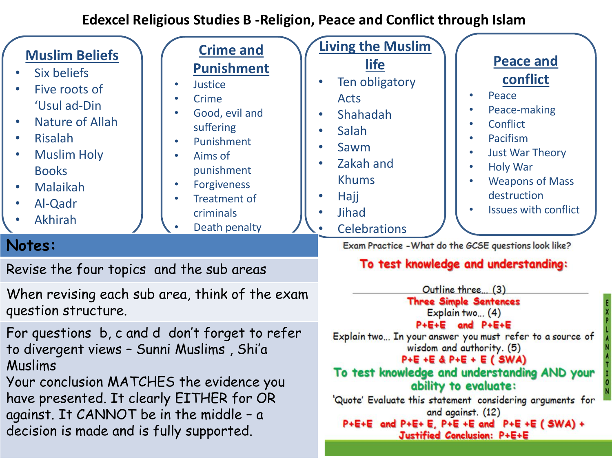### **Edexcel Religious Studies B -Religion, Peace and Conflict through Islam**

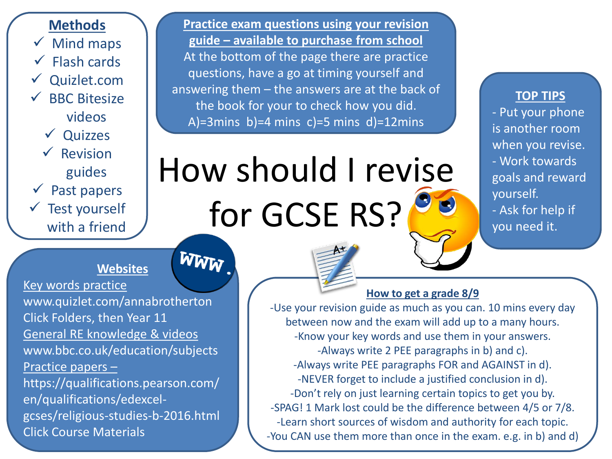### **Methods**

 $\checkmark$  Mind maps

- Flash cards
- Quizlet.com
- **BBC Bitesize** videos
	- ✓ Quizzes
	- $\sqrt{\ }$  Revision guides
- ✓ Past papers
- $\checkmark$  Test yourself with a friend

**Practice exam questions using your revision guide – available to purchase from school** At the bottom of the page there are practice questions, have a go at timing yourself and answering them – the answers are at the back of the book for your to check how you did. A)=3mins b)=4 mins c)=5 mins d)=12mins

# How should I revise for GCSE RS?

#### **Websites**

WWW

Key words practice

www.quizlet.com/annabrotherton Click Folders, then Year 11 General RE knowledge & videos www.bbc.co.uk/education/subjects Practice papers – https://qualifications.pearson.com/ en/qualifications/edexcelgcses/religious-studies-b-2016.html Click Course Materials

#### **How to get a grade 8/9**

**TOP TIPS** - Put your phone is another room

when you revise. - Work towards

goals and reward

- Ask for help if

you need it.

yourself.

-Use your revision guide as much as you can. 10 mins every day between now and the exam will add up to a many hours. -Know your key words and use them in your answers. -Always write 2 PEE paragraphs in b) and c). -Always write PEE paragraphs FOR and AGAINST in d). -NEVER forget to include a justified conclusion in d). -Don't rely on just learning certain topics to get you by. -SPAG! 1 Mark lost could be the difference between 4/5 or 7/8. -Learn short sources of wisdom and authority for each topic. -You CAN use them more than once in the exam. e.g. in b) and d)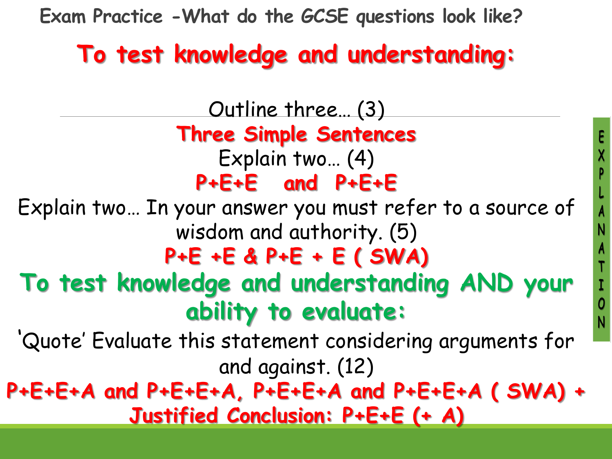**Exam Practice -What do the GCSE questions look like?**

## **To test knowledge and understanding:**

Outline three… (3) **Three Simple Sentences** Explain two… (4) **P+E+E and P+E+E** Explain two… In your answer you must refer to a source of wisdom and authority. (5) **P+E +E & P+E + E ( SWA) To test knowledge and understanding AND your ability to evaluate:**  'Quote' Evaluate this statement considering arguments for and against. (12) **P+E+E+A and P+E+E+A, P+E+E+A and P+E+E+A ( SWA) + Justified Conclusion: P+E+E (+ A)**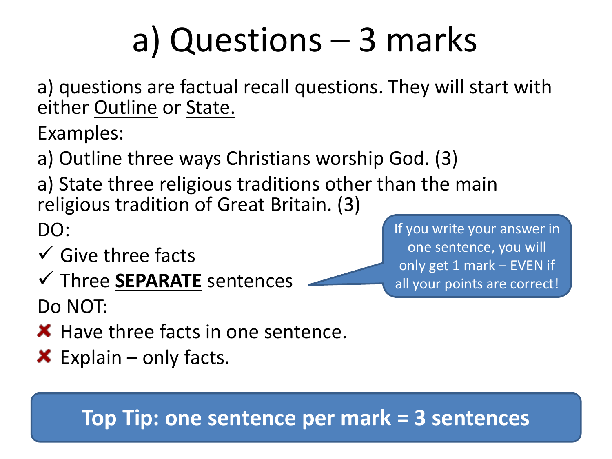## a) Questions – 3 marks

a) questions are factual recall questions. They will start with either Outline or State.

Examples:

a) Outline three ways Christians worship God. (3)

a) State three religious traditions other than the main religious tradition of Great Britain. (3)

DO:

- $\checkmark$  Give three facts
- ✓ Three **SEPARATE** sentences

Do NOT:

- $\boldsymbol{\times}$  Have three facts in one sentence.
- $\boldsymbol{\times}$  Explain only facts.

**Top Tip: one sentence per mark = 3 sentences**

If you write your answer in one sentence, you will only get 1 mark – EVEN if all your points are correct!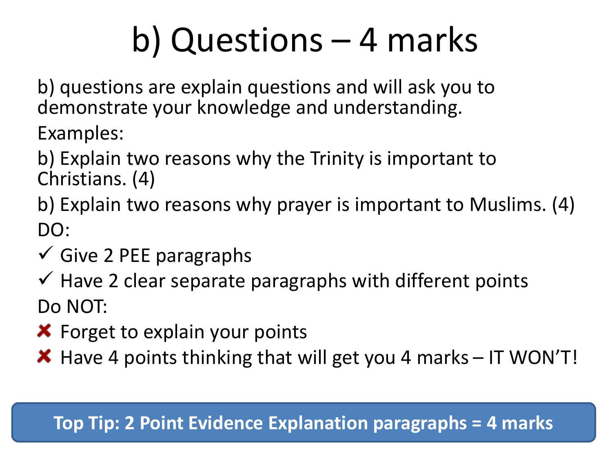## b) Questions – 4 marks

b) questions are explain questions and will ask you to demonstrate your knowledge and understanding. Examples:

b) Explain two reasons why the Trinity is important to Christians. (4)

b) Explain two reasons why prayer is important to Muslims. (4) DO:

 $\checkmark$  Give 2 PEE paragraphs

 $\checkmark$  Have 2 clear separate paragraphs with different points Do NOT:

**X** Forget to explain your points

**X** Have 4 points thinking that will get you 4 marks  $-$  IT WON'T!

### **Top Tip: 2 Point Evidence Explanation paragraphs = 4 marks**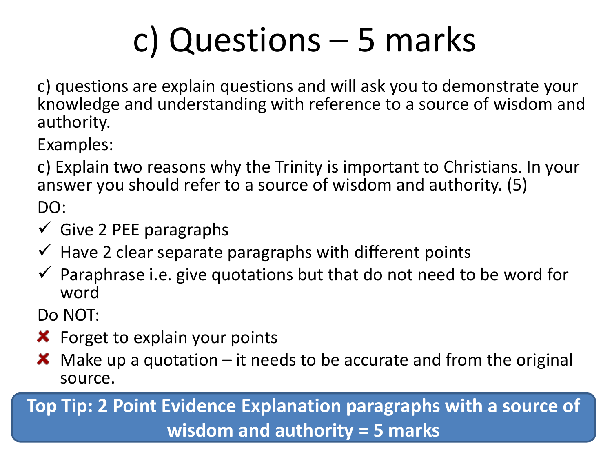## c) Questions – 5 marks

c) questions are explain questions and will ask you to demonstrate your knowledge and understanding with reference to a source of wisdom and authority.

Examples:

c) Explain two reasons why the Trinity is important to Christians. In your answer you should refer to a source of wisdom and authority. (5) DO:

- $\checkmark$  Give 2 PEE paragraphs
- $\checkmark$  Have 2 clear separate paragraphs with different points
- $\checkmark$  Paraphrase i.e. give quotations but that do not need to be word for word

Do NOT:

- **X** Forget to explain your points
- $\boldsymbol{\times}$  Make up a quotation it needs to be accurate and from the original source.

**Top Tip: 2 Point Evidence Explanation paragraphs with a source of wisdom and authority = 5 marks**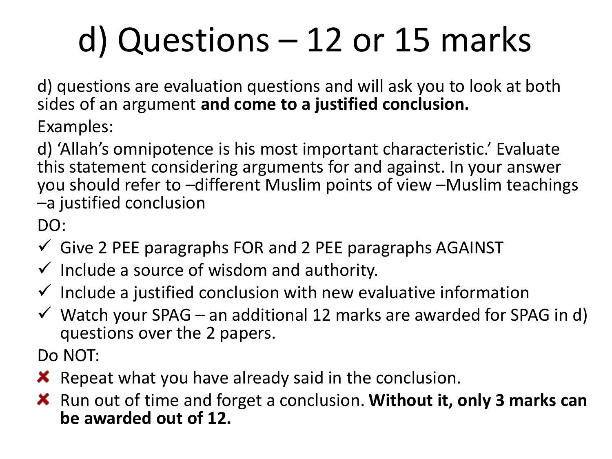## d) Questions – 12 or 15 marks

d) questions are evaluation questions and will ask you to look at both sides of an argument **and come to a justified conclusion.**

Examples:

d) 'Allah's omnipotence is his most important characteristic.' Evaluate this statement considering arguments for and against. In your answer you should refer to –different Muslim points of view –Muslim teachings –a justified conclusion

DO:

- $\checkmark$  Give 2 PEE paragraphs FOR and 2 PEE paragraphs AGAINST
- $\checkmark$  Include a source of wisdom and authority.
- $\checkmark$  Include a justified conclusion with new evaluative information
- $\checkmark$  Watch your SPAG an additional 12 marks are awarded for SPAG in d) questions over the 2 papers.

Do NOT:

- $\boldsymbol{\times}$  Repeat what you have already said in the conclusion.
- **X** Run out of time and forget a conclusion. **Without it, only 3 marks can be awarded out of 12.**